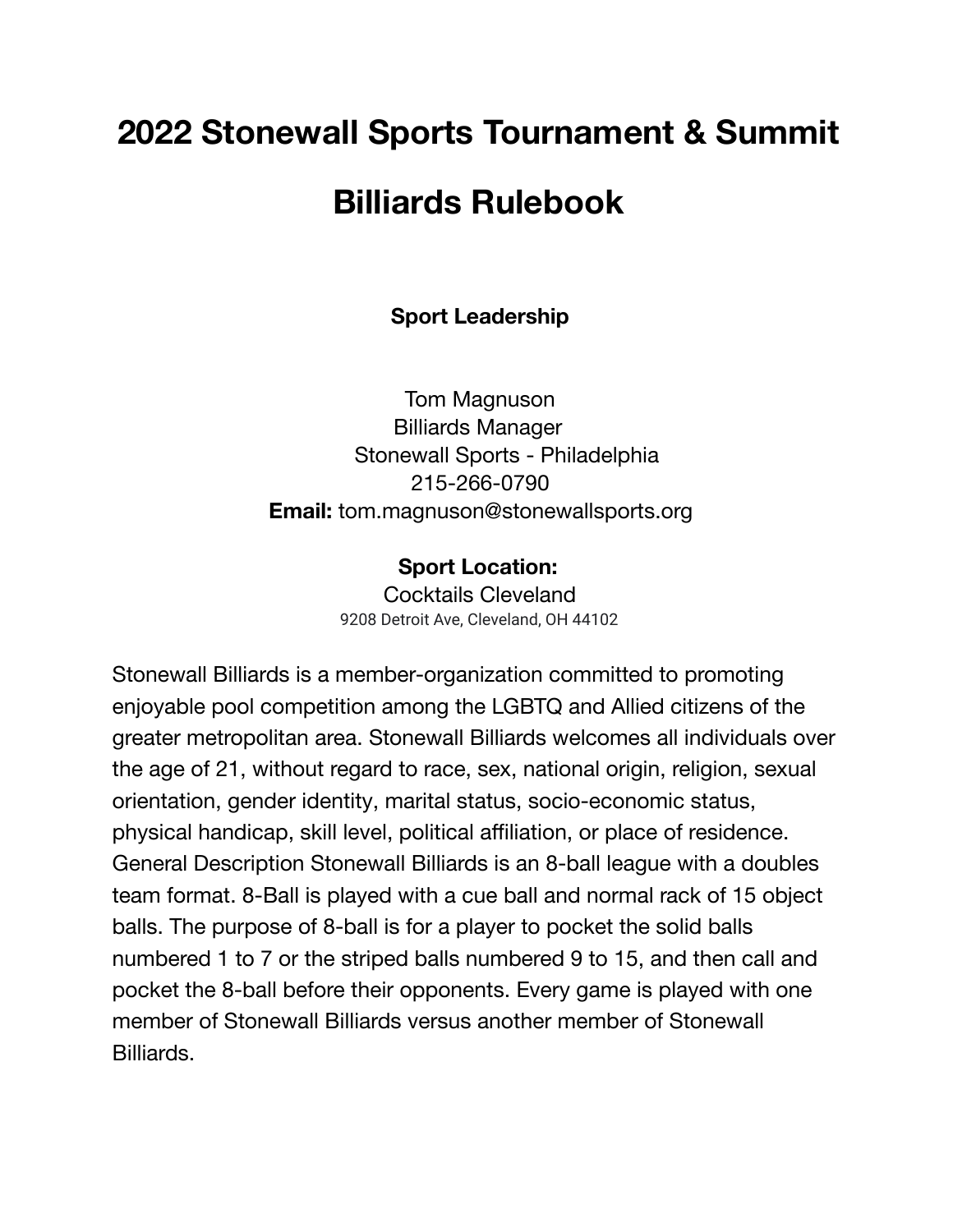# **2022 Stonewall Sports Tournament & Summit Billiards Rulebook**

**Sport Leadership**

Tom Magnuson Billiards Manager Stonewall Sports - Philadelphia 215-266-0790 **Email:** tom.magnuson@stonewallsports.org

#### **Sport Location:**

Cocktails Cleveland 9208 Detroit Ave, Cleveland, OH 44102

Stonewall Billiards is a member-organization committed to promoting enjoyable pool competition among the LGBTQ and Allied citizens of the greater metropolitan area. Stonewall Billiards welcomes all individuals over the age of 21, without regard to race, sex, national origin, religion, sexual orientation, gender identity, marital status, socio-economic status, physical handicap, skill level, political affiliation, or place of residence. General Description Stonewall Billiards is an 8-ball league with a doubles team format. 8-Ball is played with a cue ball and normal rack of 15 object balls. The purpose of 8-ball is for a player to pocket the solid balls numbered 1 to 7 or the striped balls numbered 9 to 15, and then call and pocket the 8-ball before their opponents. Every game is played with one member of Stonewall Billiards versus another member of Stonewall Billiards.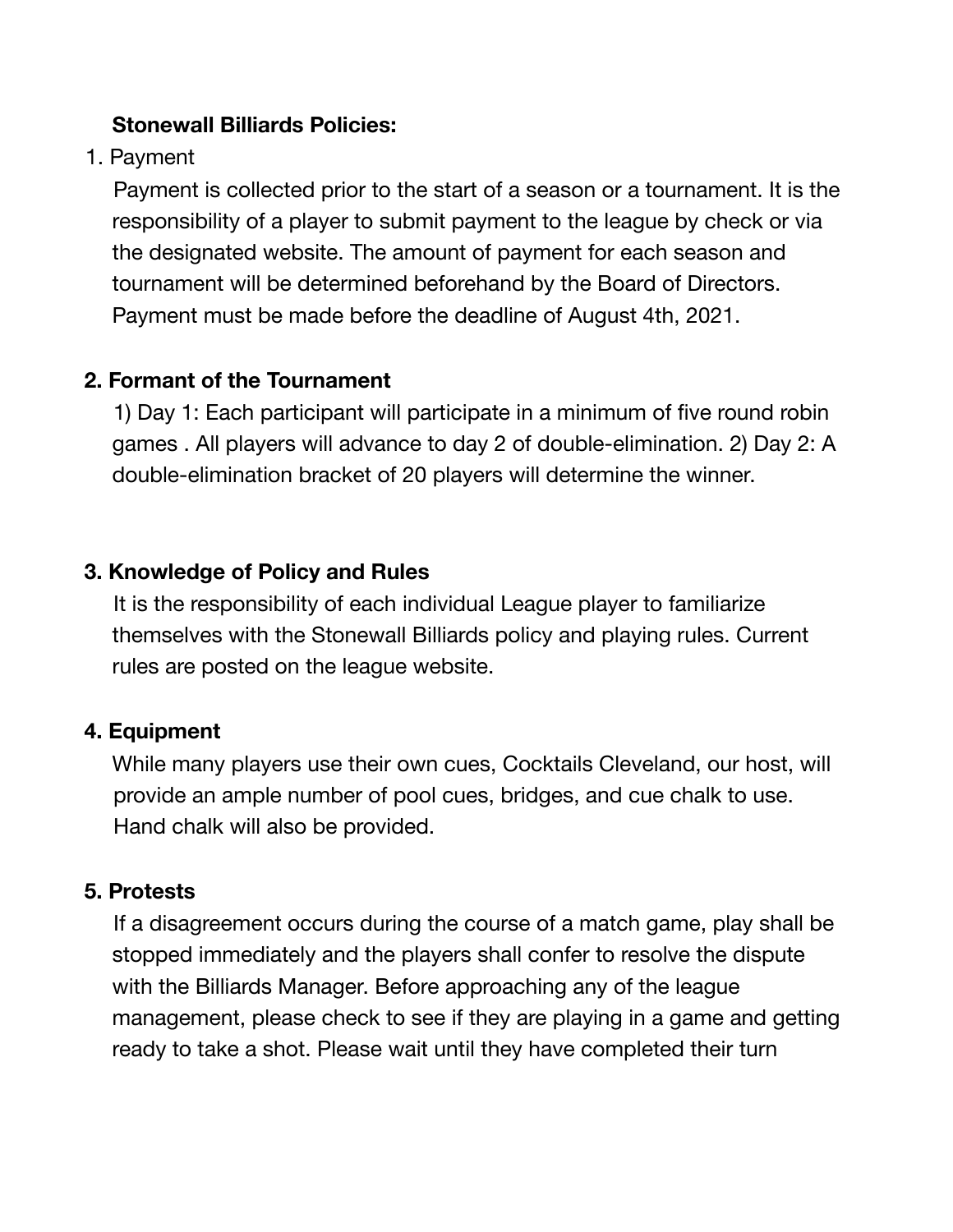#### **Stonewall Billiards Policies:**

1. Payment

Payment is collected prior to the start of a season or a tournament. It is the responsibility of a player to submit payment to the league by check or via the designated website. The amount of payment for each season and tournament will be determined beforehand by the Board of Directors. Payment must be made before the deadline of August 4th, 2021.

#### **2. Formant of the Tournament**

1) Day 1: Each participant will participate in a minimum of five round robin games . All players will advance to day 2 of double-elimination. 2) Day 2: A double-elimination bracket of 20 players will determine the winner.

#### **3. Knowledge of Policy and Rules**

It is the responsibility of each individual League player to familiarize themselves with the Stonewall Billiards policy and playing rules. Current rules are posted on the league website.

#### **4. Equipment**

While many players use their own cues, Cocktails Cleveland, our host, will provide an ample number of pool cues, bridges, and cue chalk to use. Hand chalk will also be provided.

#### **5. Protests**

If a disagreement occurs during the course of a match game, play shall be stopped immediately and the players shall confer to resolve the dispute with the Billiards Manager. Before approaching any of the league management, please check to see if they are playing in a game and getting ready to take a shot. Please wait until they have completed their turn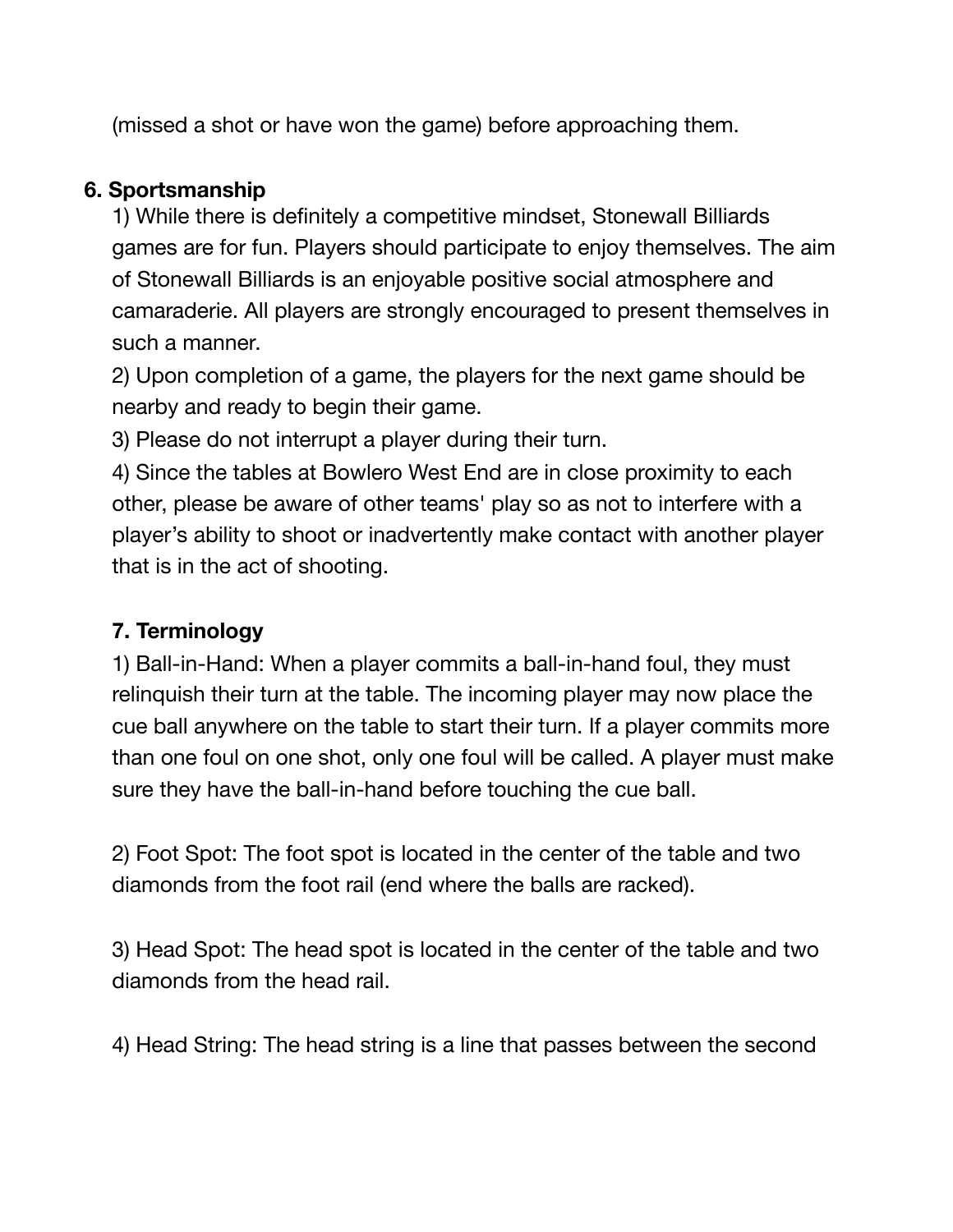(missed a shot or have won the game) before approaching them.

#### **6. Sportsmanship**

1) While there is definitely a competitive mindset, Stonewall Billiards games are for fun. Players should participate to enjoy themselves. The aim of Stonewall Billiards is an enjoyable positive social atmosphere and camaraderie. All players are strongly encouraged to present themselves in such a manner.

2) Upon completion of a game, the players for the next game should be nearby and ready to begin their game.

3) Please do not interrupt a player during their turn.

4) Since the tables at Bowlero West End are in close proximity to each other, please be aware of other teams' play so as not to interfere with a player's ability to shoot or inadvertently make contact with another player that is in the act of shooting.

## **7. Terminology**

1) Ball-in-Hand: When a player commits a ball-in-hand foul, they must relinquish their turn at the table. The incoming player may now place the cue ball anywhere on the table to start their turn. If a player commits more than one foul on one shot, only one foul will be called. A player must make sure they have the ball-in-hand before touching the cue ball.

2) Foot Spot: The foot spot is located in the center of the table and two diamonds from the foot rail (end where the balls are racked).

3) Head Spot: The head spot is located in the center of the table and two diamonds from the head rail.

4) Head String: The head string is a line that passes between the second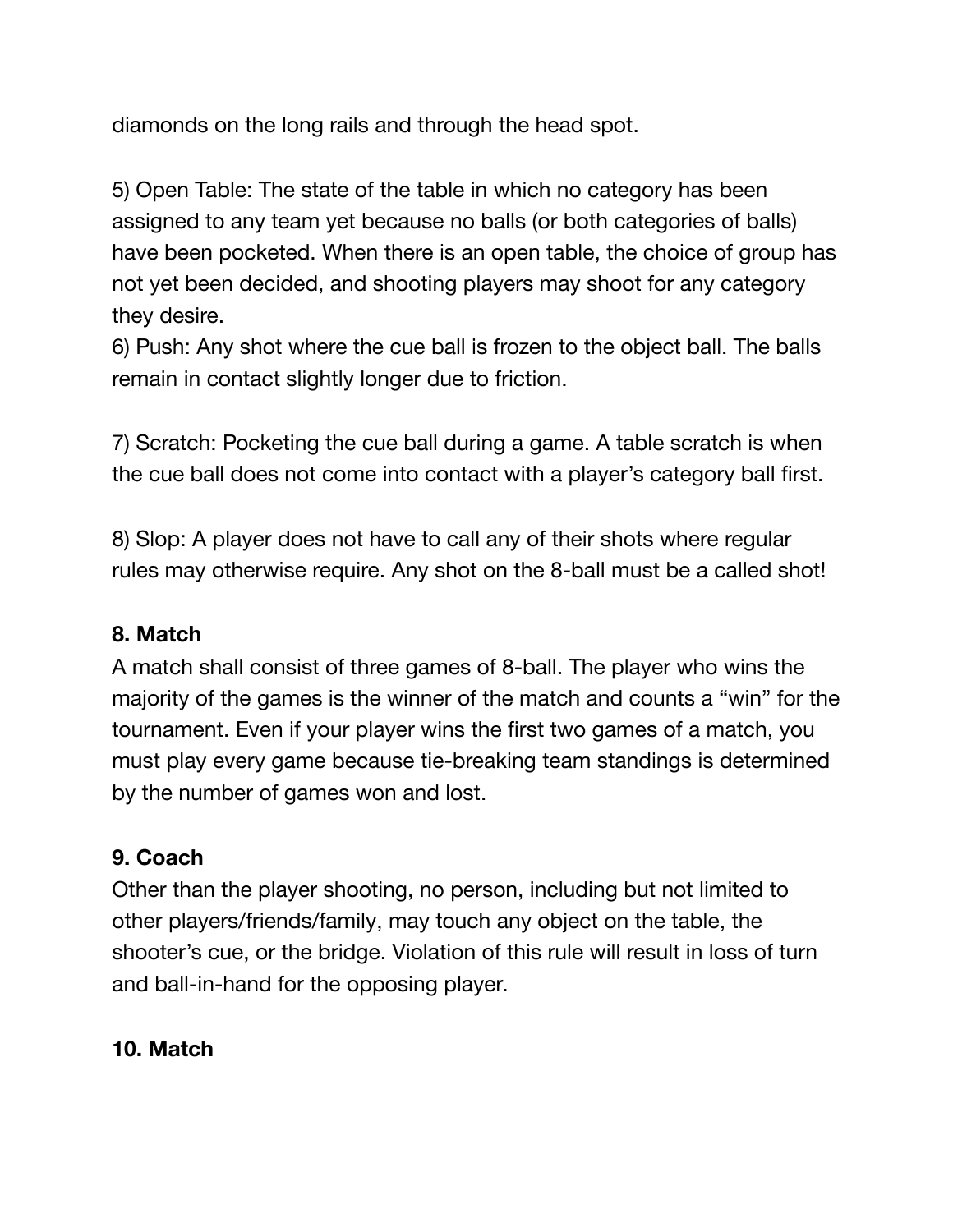diamonds on the long rails and through the head spot.

5) Open Table: The state of the table in which no category has been assigned to any team yet because no balls (or both categories of balls) have been pocketed. When there is an open table, the choice of group has not yet been decided, and shooting players may shoot for any category they desire.

6) Push: Any shot where the cue ball is frozen to the object ball. The balls remain in contact slightly longer due to friction.

7) Scratch: Pocketing the cue ball during a game. A table scratch is when the cue ball does not come into contact with a player's category ball first.

8) Slop: A player does not have to call any of their shots where regular rules may otherwise require. Any shot on the 8-ball must be a called shot!

#### **8. Match**

A match shall consist of three games of 8-ball. The player who wins the majority of the games is the winner of the match and counts a "win" for the tournament. Even if your player wins the first two games of a match, you must play every game because tie-breaking team standings is determined by the number of games won and lost.

#### **9. Coach**

Other than the player shooting, no person, including but not limited to other players/friends/family, may touch any object on the table, the shooter's cue, or the bridge. Violation of this rule will result in loss of turn and ball-in-hand for the opposing player.

#### **10. Match**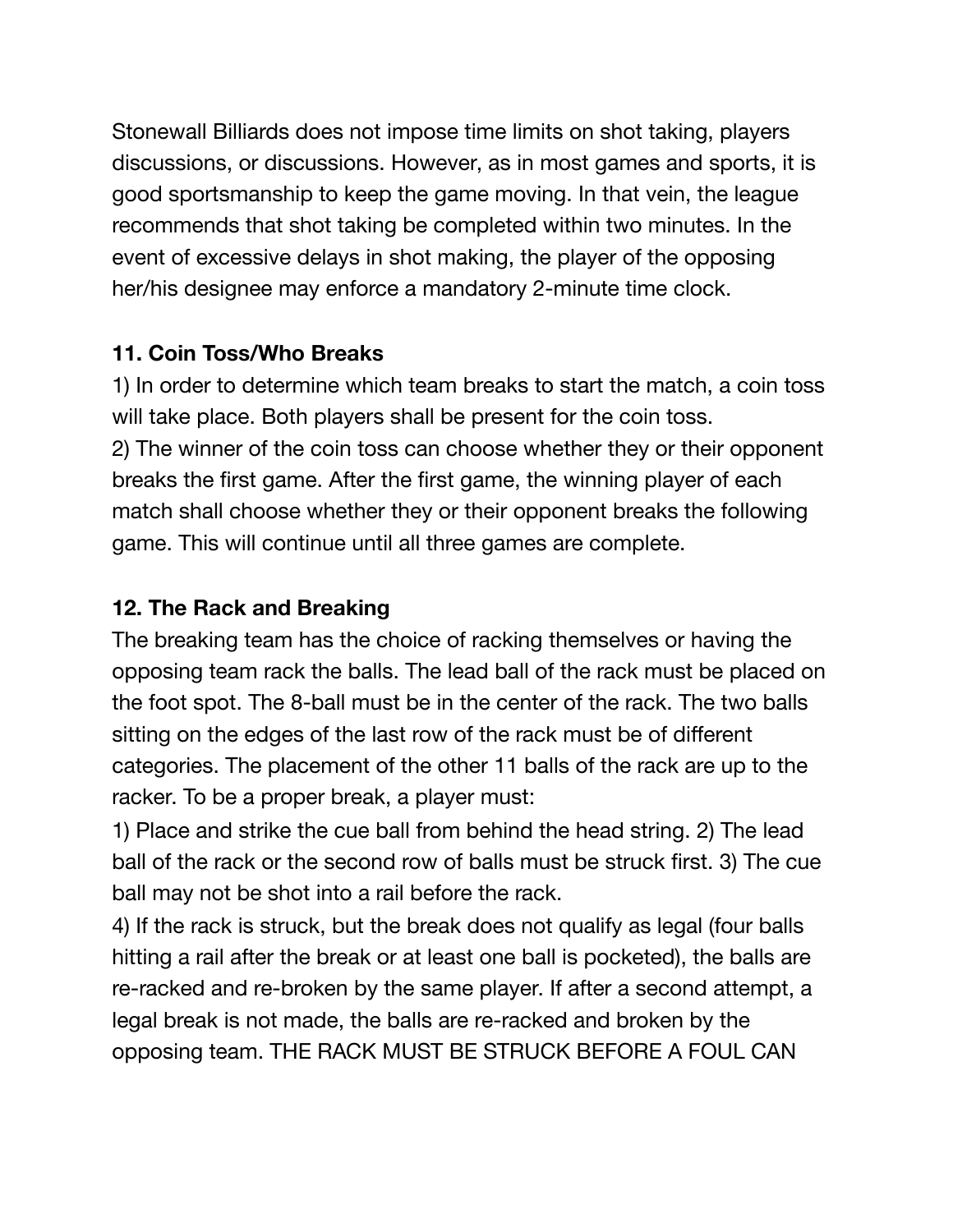Stonewall Billiards does not impose time limits on shot taking, players discussions, or discussions. However, as in most games and sports, it is good sportsmanship to keep the game moving. In that vein, the league recommends that shot taking be completed within two minutes. In the event of excessive delays in shot making, the player of the opposing her/his designee may enforce a mandatory 2-minute time clock.

#### **11. Coin Toss/Who Breaks**

1) In order to determine which team breaks to start the match, a coin toss will take place. Both players shall be present for the coin toss. 2) The winner of the coin toss can choose whether they or their opponent breaks the first game. After the first game, the winning player of each match shall choose whether they or their opponent breaks the following game. This will continue until all three games are complete.

#### **12. The Rack and Breaking**

The breaking team has the choice of racking themselves or having the opposing team rack the balls. The lead ball of the rack must be placed on the foot spot. The 8-ball must be in the center of the rack. The two balls sitting on the edges of the last row of the rack must be of different categories. The placement of the other 11 balls of the rack are up to the racker. To be a proper break, a player must:

1) Place and strike the cue ball from behind the head string. 2) The lead ball of the rack or the second row of balls must be struck first. 3) The cue ball may not be shot into a rail before the rack.

4) If the rack is struck, but the break does not qualify as legal (four balls hitting a rail after the break or at least one ball is pocketed), the balls are re-racked and re-broken by the same player. If after a second attempt, a legal break is not made, the balls are re-racked and broken by the opposing team. THE RACK MUST BE STRUCK BEFORE A FOUL CAN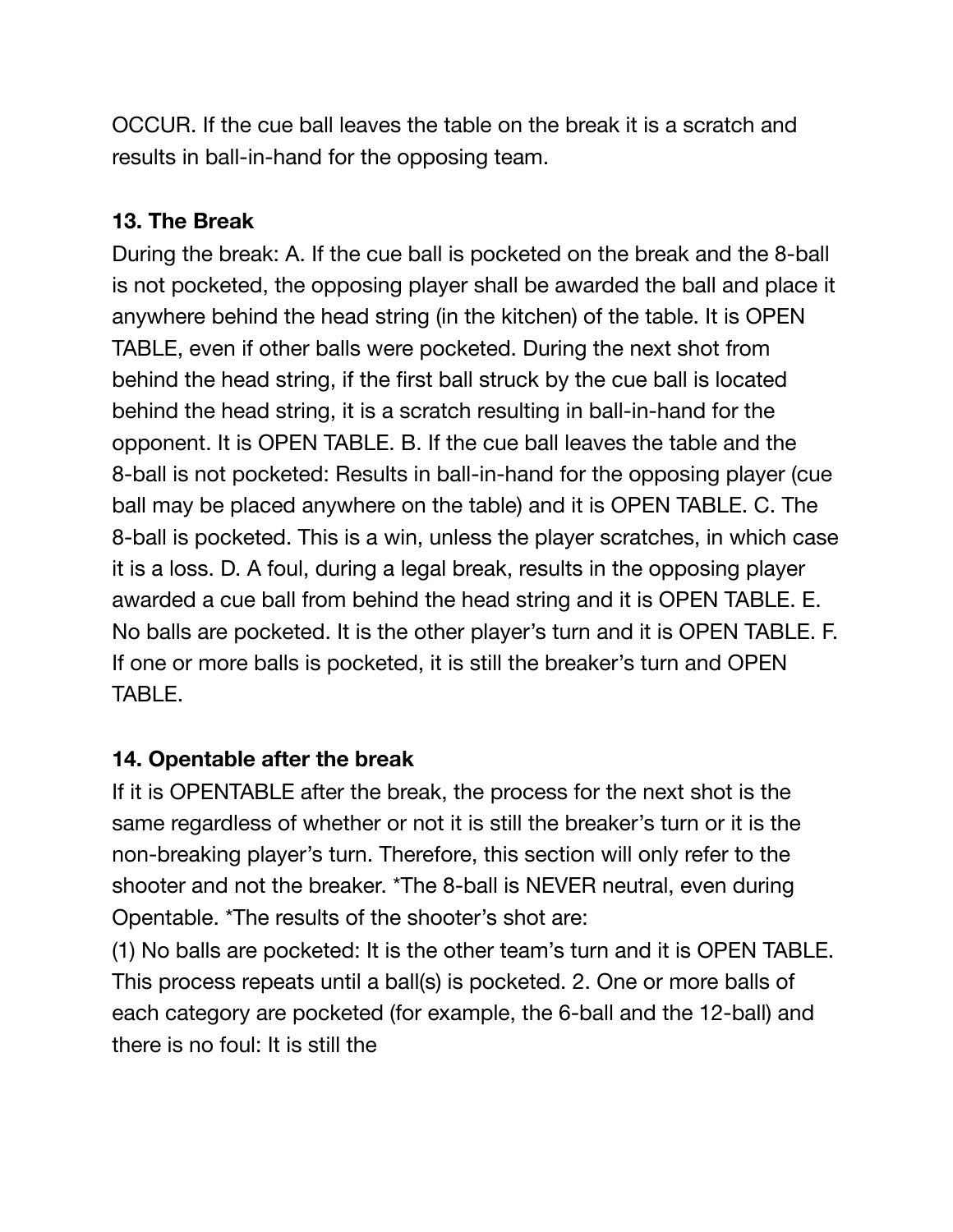OCCUR. If the cue ball leaves the table on the break it is a scratch and results in ball-in-hand for the opposing team.

#### **13. The Break**

During the break: A. If the cue ball is pocketed on the break and the 8-ball is not pocketed, the opposing player shall be awarded the ball and place it anywhere behind the head string (in the kitchen) of the table. It is OPEN TABLE, even if other balls were pocketed. During the next shot from behind the head string, if the first ball struck by the cue ball is located behind the head string, it is a scratch resulting in ball-in-hand for the opponent. It is OPEN TABLE. B. If the cue ball leaves the table and the 8-ball is not pocketed: Results in ball-in-hand for the opposing player (cue ball may be placed anywhere on the table) and it is OPEN TABLE. C. The 8-ball is pocketed. This is a win, unless the player scratches, in which case it is a loss. D. A foul, during a legal break, results in the opposing player awarded a cue ball from behind the head string and it is OPEN TABLE. E. No balls are pocketed. It is the other player's turn and it is OPEN TABLE. F. If one or more balls is pocketed, it is still the breaker's turn and OPEN TABLE.

## **14. Opentable after the break**

If it is OPENTABLE after the break, the process for the next shot is the same regardless of whether or not it is still the breaker's turn or it is the non-breaking player's turn. Therefore, this section will only refer to the shooter and not the breaker. \*The 8-ball is NEVER neutral, even during Opentable. \*The results of the shooter's shot are:

(1) No balls are pocketed: It is the other team's turn and it is OPEN TABLE. This process repeats until a ball(s) is pocketed. 2. One or more balls of each category are pocketed (for example, the 6-ball and the 12-ball) and there is no foul: It is still the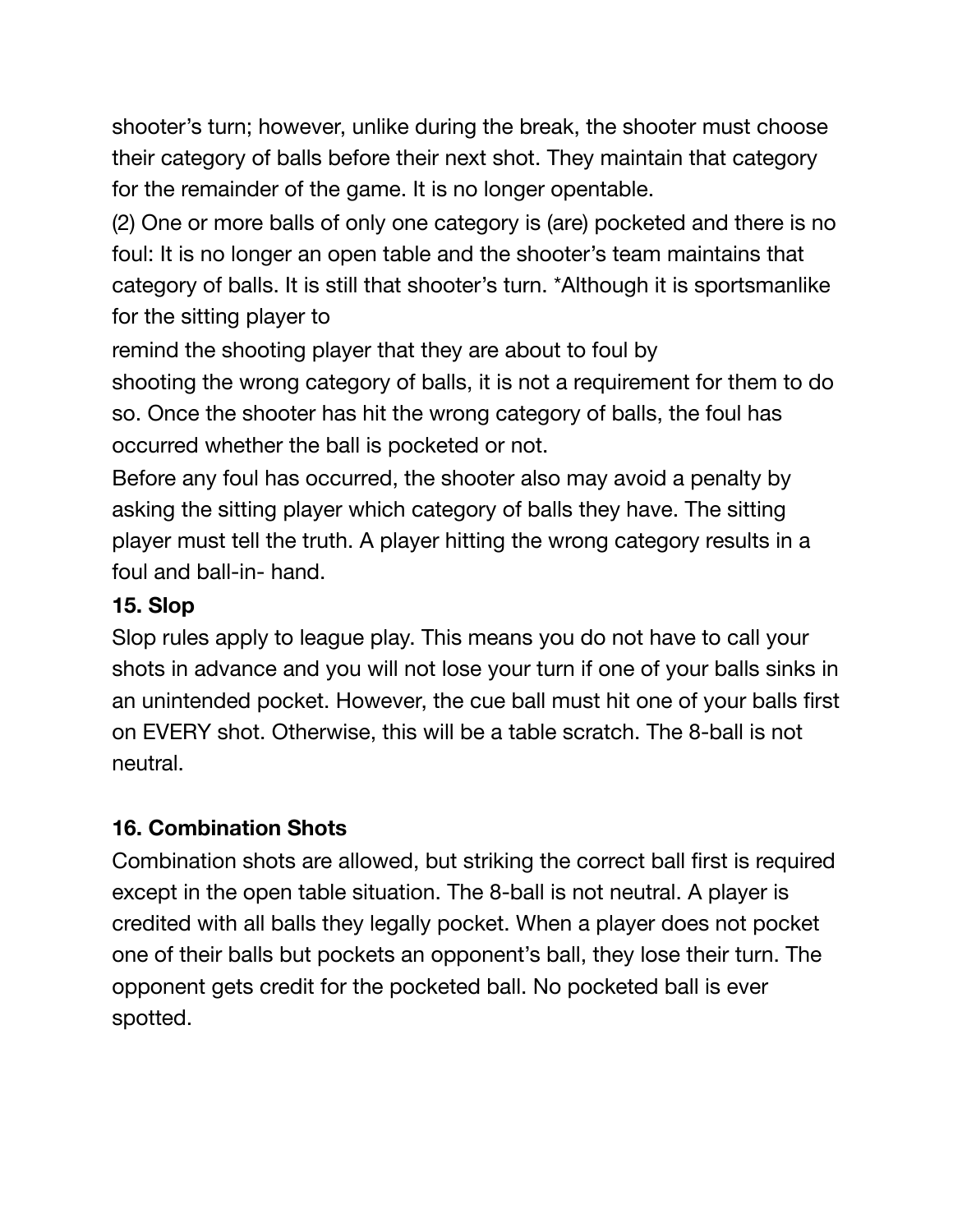shooter's turn; however, unlike during the break, the shooter must choose their category of balls before their next shot. They maintain that category for the remainder of the game. It is no longer opentable.

(2) One or more balls of only one category is (are) pocketed and there is no foul: It is no longer an open table and the shooter's team maintains that category of balls. It is still that shooter's turn. \*Although it is sportsmanlike for the sitting player to

remind the shooting player that they are about to foul by

shooting the wrong category of balls, it is not a requirement for them to do so. Once the shooter has hit the wrong category of balls, the foul has occurred whether the ball is pocketed or not.

Before any foul has occurred, the shooter also may avoid a penalty by asking the sitting player which category of balls they have. The sitting player must tell the truth. A player hitting the wrong category results in a foul and ball-in- hand.

## **15. Slop**

Slop rules apply to league play. This means you do not have to call your shots in advance and you will not lose your turn if one of your balls sinks in an unintended pocket. However, the cue ball must hit one of your balls first on EVERY shot. Otherwise, this will be a table scratch. The 8-ball is not neutral.

## **16. Combination Shots**

Combination shots are allowed, but striking the correct ball first is required except in the open table situation. The 8-ball is not neutral. A player is credited with all balls they legally pocket. When a player does not pocket one of their balls but pockets an opponent's ball, they lose their turn. The opponent gets credit for the pocketed ball. No pocketed ball is ever spotted.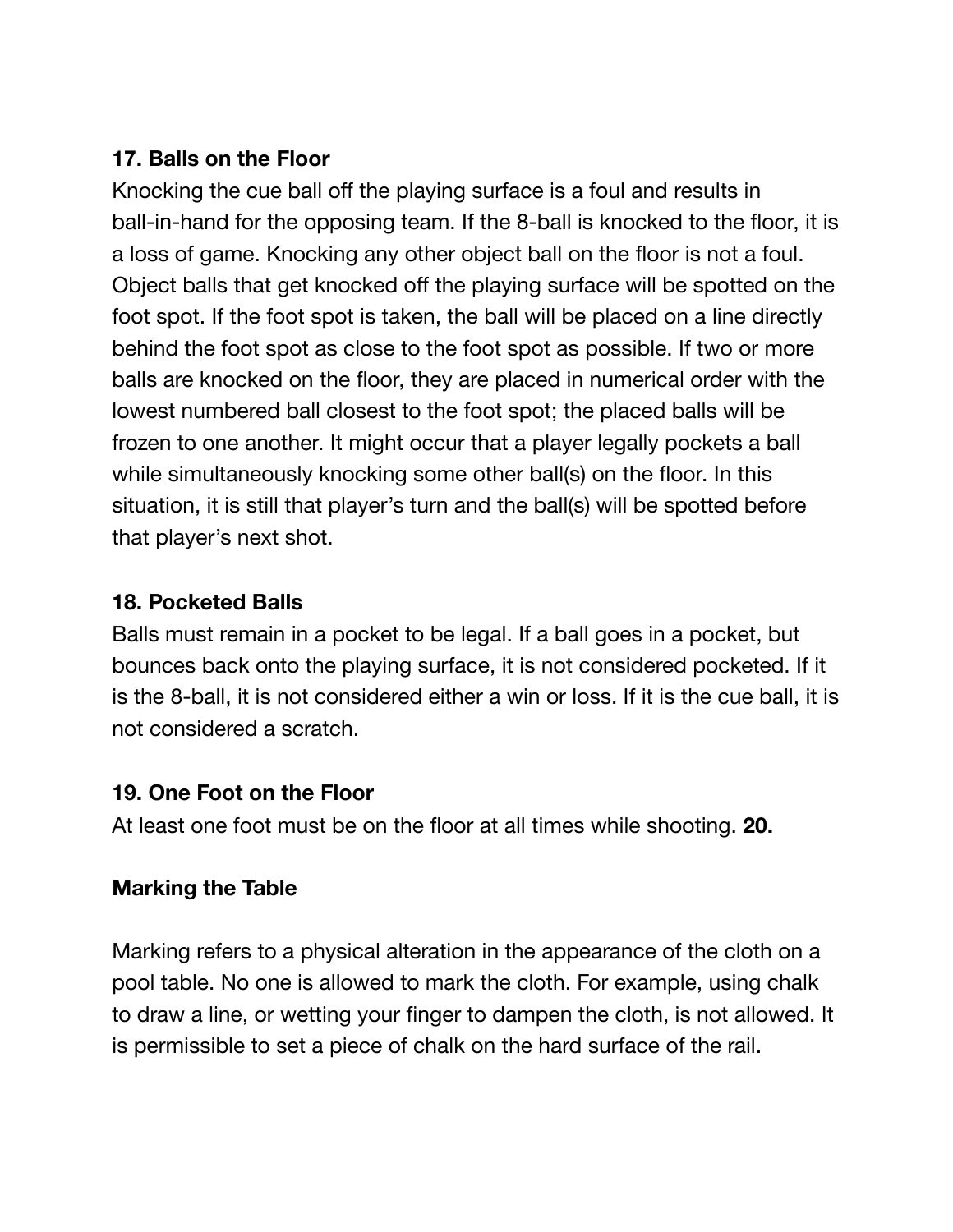#### **17. Balls on the Floor**

Knocking the cue ball off the playing surface is a foul and results in ball-in-hand for the opposing team. If the 8-ball is knocked to the floor, it is a loss of game. Knocking any other object ball on the floor is not a foul. Object balls that get knocked off the playing surface will be spotted on the foot spot. If the foot spot is taken, the ball will be placed on a line directly behind the foot spot as close to the foot spot as possible. If two or more balls are knocked on the floor, they are placed in numerical order with the lowest numbered ball closest to the foot spot; the placed balls will be frozen to one another. It might occur that a player legally pockets a ball while simultaneously knocking some other ball(s) on the floor. In this situation, it is still that player's turn and the ball(s) will be spotted before that player's next shot.

#### **18. Pocketed Balls**

Balls must remain in a pocket to be legal. If a ball goes in a pocket, but bounces back onto the playing surface, it is not considered pocketed. If it is the 8-ball, it is not considered either a win or loss. If it is the cue ball, it is not considered a scratch.

#### **19. One Foot on the Floor**

At least one foot must be on the floor at all times while shooting. **20.**

## **Marking the Table**

Marking refers to a physical alteration in the appearance of the cloth on a pool table. No one is allowed to mark the cloth. For example, using chalk to draw a line, or wetting your finger to dampen the cloth, is not allowed. It is permissible to set a piece of chalk on the hard surface of the rail.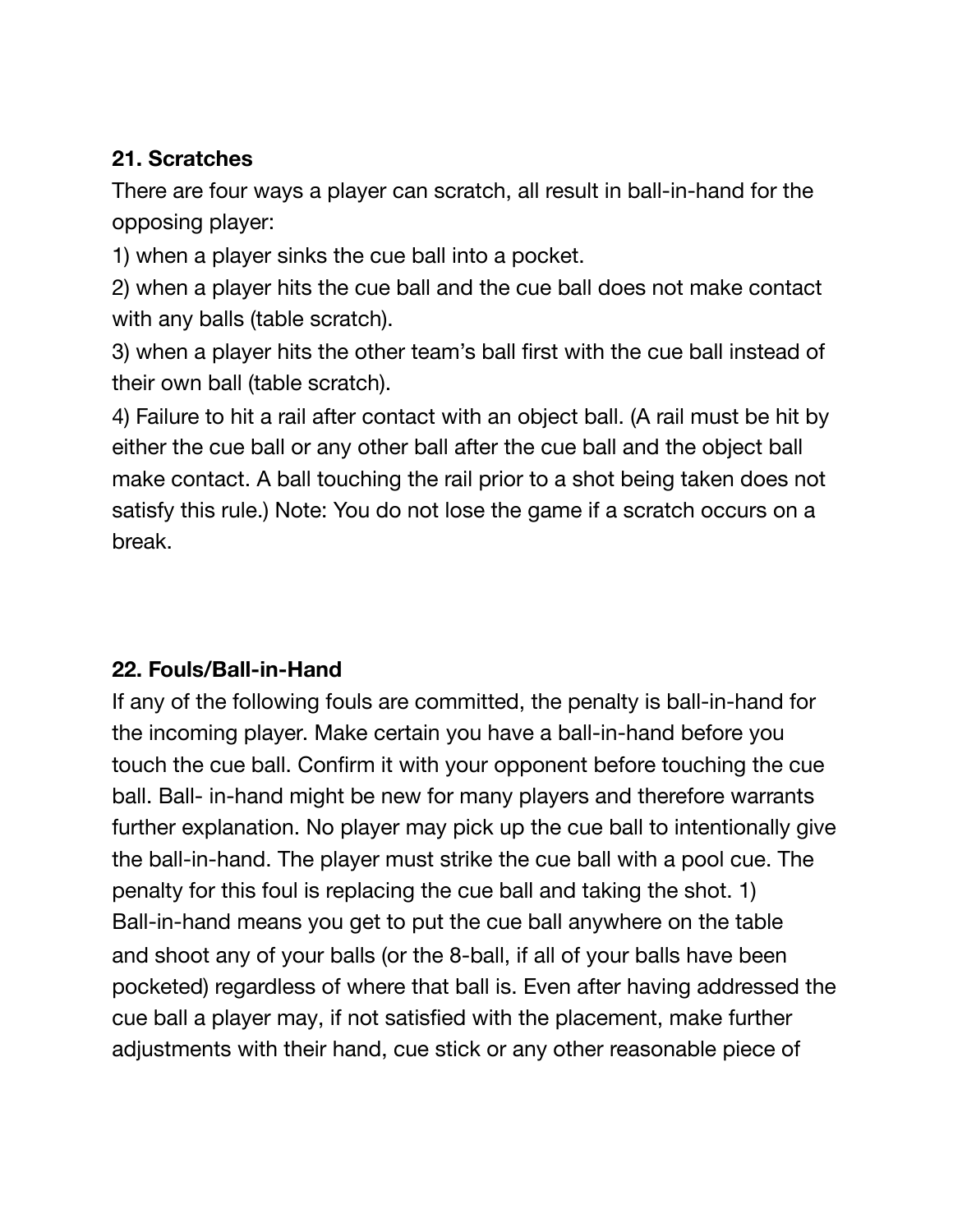## **21. Scratches**

There are four ways a player can scratch, all result in ball-in-hand for the opposing player:

1) when a player sinks the cue ball into a pocket.

2) when a player hits the cue ball and the cue ball does not make contact with any balls (table scratch).

3) when a player hits the other team's ball first with the cue ball instead of their own ball (table scratch).

4) Failure to hit a rail after contact with an object ball. (A rail must be hit by either the cue ball or any other ball after the cue ball and the object ball make contact. A ball touching the rail prior to a shot being taken does not satisfy this rule.) Note: You do not lose the game if a scratch occurs on a break.

## **22. Fouls/Ball-in-Hand**

If any of the following fouls are committed, the penalty is ball-in-hand for the incoming player. Make certain you have a ball-in-hand before you touch the cue ball. Confirm it with your opponent before touching the cue ball. Ball- in-hand might be new for many players and therefore warrants further explanation. No player may pick up the cue ball to intentionally give the ball-in-hand. The player must strike the cue ball with a pool cue. The penalty for this foul is replacing the cue ball and taking the shot. 1) Ball-in-hand means you get to put the cue ball anywhere on the table and shoot any of your balls (or the 8-ball, if all of your balls have been pocketed) regardless of where that ball is. Even after having addressed the cue ball a player may, if not satisfied with the placement, make further adjustments with their hand, cue stick or any other reasonable piece of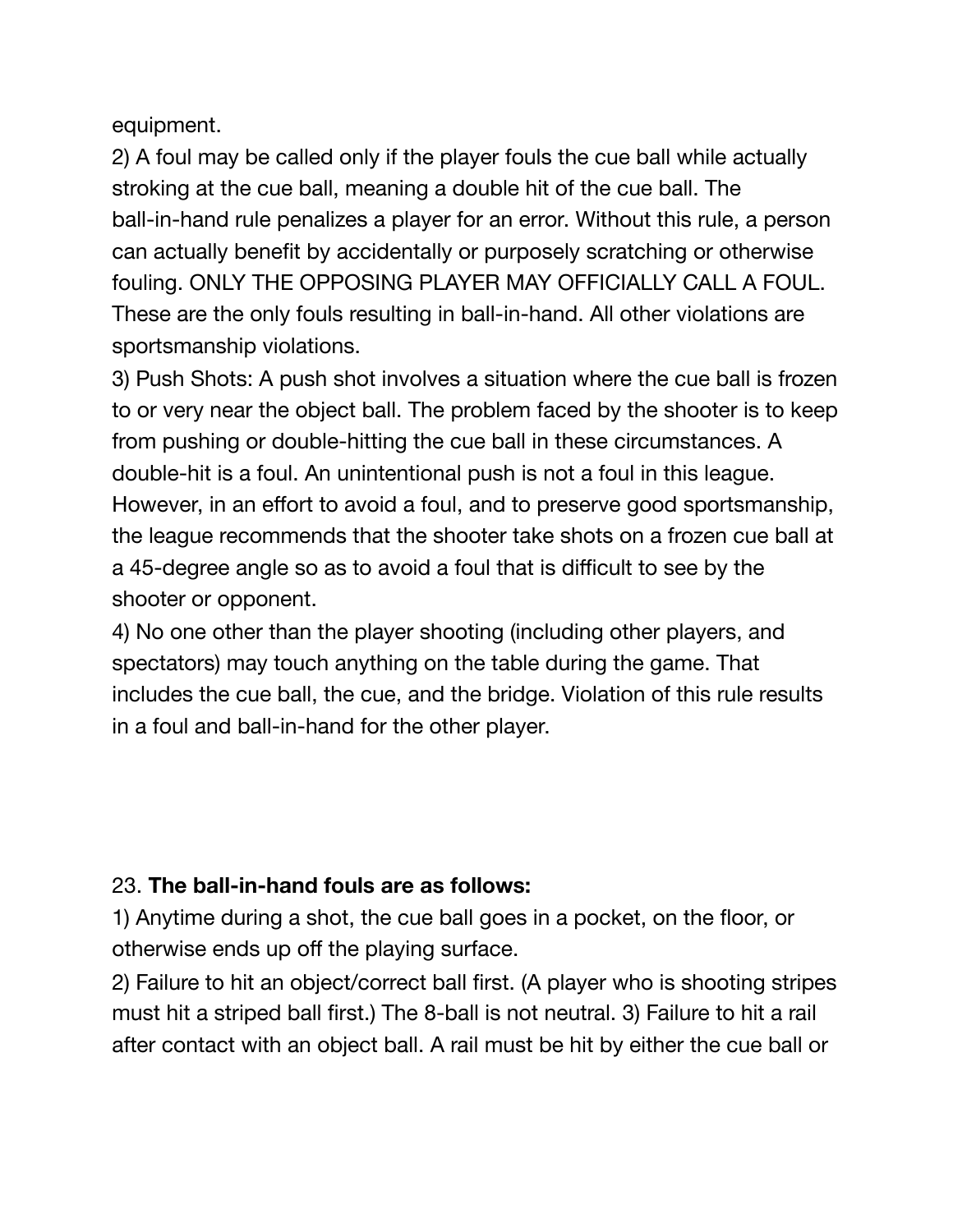equipment.

2) A foul may be called only if the player fouls the cue ball while actually stroking at the cue ball, meaning a double hit of the cue ball. The ball-in-hand rule penalizes a player for an error. Without this rule, a person can actually benefit by accidentally or purposely scratching or otherwise fouling. ONLY THE OPPOSING PLAYER MAY OFFICIALLY CALL A FOUL. These are the only fouls resulting in ball-in-hand. All other violations are sportsmanship violations.

3) Push Shots: A push shot involves a situation where the cue ball is frozen to or very near the object ball. The problem faced by the shooter is to keep from pushing or double-hitting the cue ball in these circumstances. A double-hit is a foul. An unintentional push is not a foul in this league. However, in an effort to avoid a foul, and to preserve good sportsmanship, the league recommends that the shooter take shots on a frozen cue ball at a 45-degree angle so as to avoid a foul that is difficult to see by the shooter or opponent.

4) No one other than the player shooting (including other players, and spectators) may touch anything on the table during the game. That includes the cue ball, the cue, and the bridge. Violation of this rule results in a foul and ball-in-hand for the other player.

## 23. **The ball-in-hand fouls are as follows:**

1) Anytime during a shot, the cue ball goes in a pocket, on the floor, or otherwise ends up off the playing surface.

2) Failure to hit an object/correct ball first. (A player who is shooting stripes must hit a striped ball first.) The 8-ball is not neutral. 3) Failure to hit a rail after contact with an object ball. A rail must be hit by either the cue ball or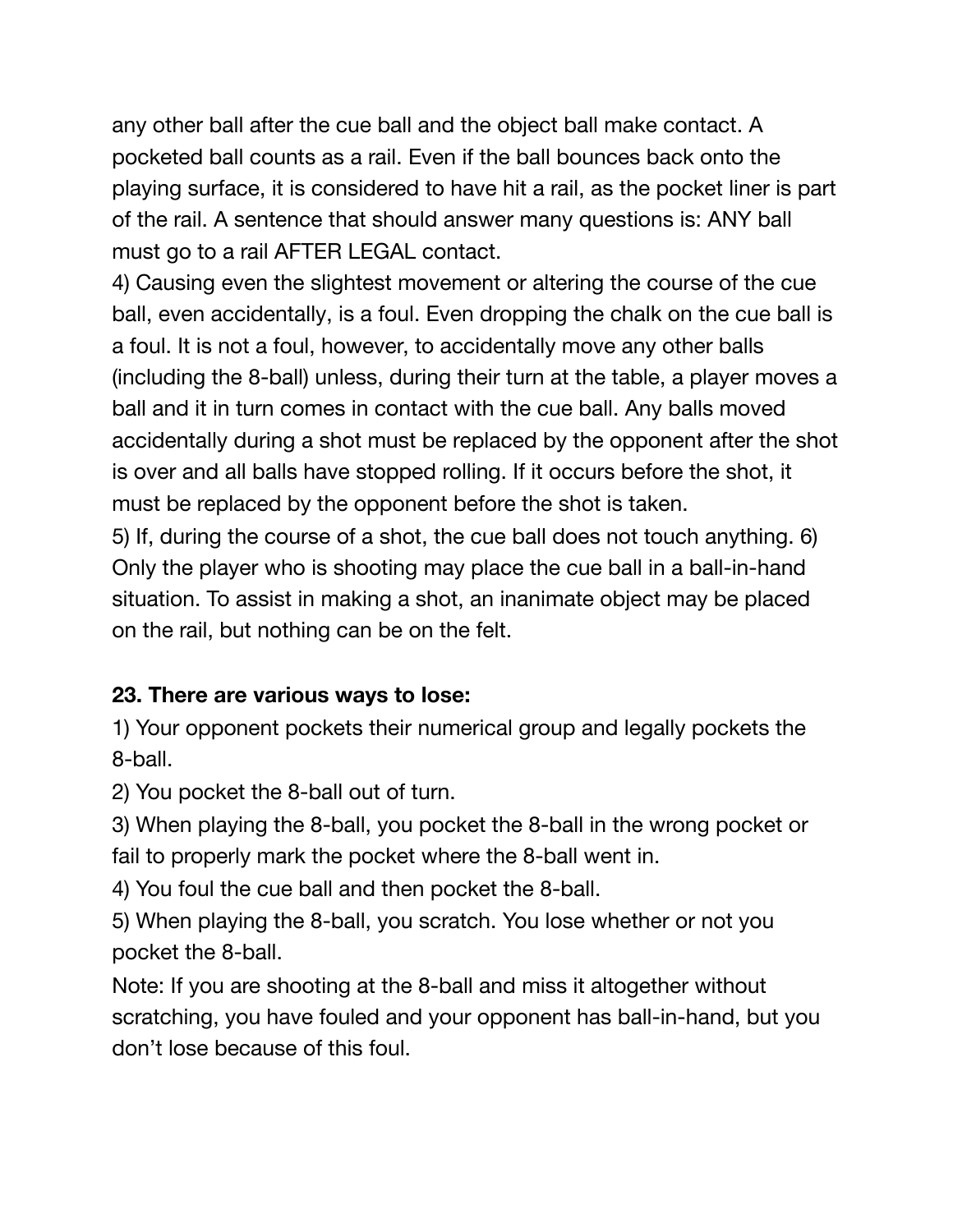any other ball after the cue ball and the object ball make contact. A pocketed ball counts as a rail. Even if the ball bounces back onto the playing surface, it is considered to have hit a rail, as the pocket liner is part of the rail. A sentence that should answer many questions is: ANY ball must go to a rail AFTER LEGAL contact.

4) Causing even the slightest movement or altering the course of the cue ball, even accidentally, is a foul. Even dropping the chalk on the cue ball is a foul. It is not a foul, however, to accidentally move any other balls (including the 8-ball) unless, during their turn at the table, a player moves a ball and it in turn comes in contact with the cue ball. Any balls moved accidentally during a shot must be replaced by the opponent after the shot is over and all balls have stopped rolling. If it occurs before the shot, it must be replaced by the opponent before the shot is taken.

5) If, during the course of a shot, the cue ball does not touch anything. 6) Only the player who is shooting may place the cue ball in a ball-in-hand situation. To assist in making a shot, an inanimate object may be placed on the rail, but nothing can be on the felt.

## **23. There are various ways to lose:**

1) Your opponent pockets their numerical group and legally pockets the 8-ball.

2) You pocket the 8-ball out of turn.

3) When playing the 8-ball, you pocket the 8-ball in the wrong pocket or fail to properly mark the pocket where the 8-ball went in.

4) You foul the cue ball and then pocket the 8-ball.

5) When playing the 8-ball, you scratch. You lose whether or not you pocket the 8-ball.

Note: If you are shooting at the 8-ball and miss it altogether without scratching, you have fouled and your opponent has ball-in-hand, but you don't lose because of this foul.